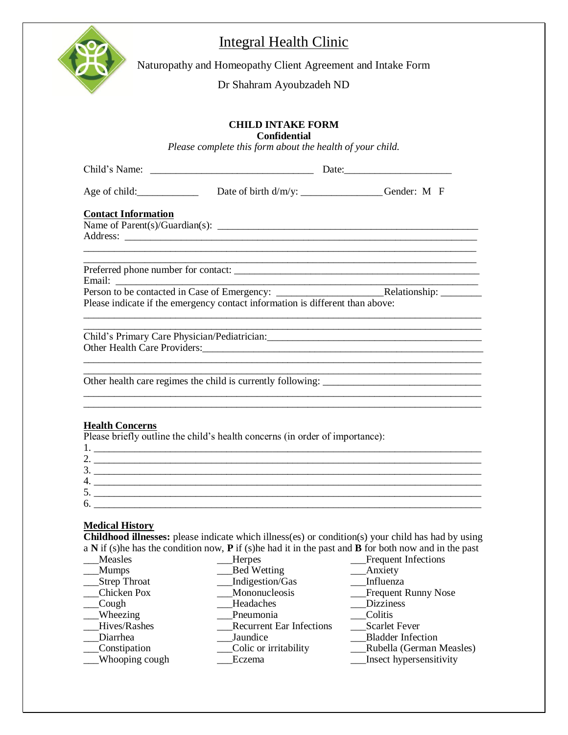

# Integral Health Clinic

Naturopathy and Homeopathy Client Agreement and Intake Form

Dr Shahram Ayoubzadeh ND

# **CHILD INTAKE FORM**

**Confidential**

*Please complete this form about the health of your child.* 

|                               | Age of child: Date of birth d/m/y: ________________Gender: M F                                                                                                                                                                                                                                                         |  |
|-------------------------------|------------------------------------------------------------------------------------------------------------------------------------------------------------------------------------------------------------------------------------------------------------------------------------------------------------------------|--|
| <b>Contact Information</b>    |                                                                                                                                                                                                                                                                                                                        |  |
|                               |                                                                                                                                                                                                                                                                                                                        |  |
|                               |                                                                                                                                                                                                                                                                                                                        |  |
|                               | Please indicate if the emergency contact information is different than above:                                                                                                                                                                                                                                          |  |
|                               |                                                                                                                                                                                                                                                                                                                        |  |
| <b>Health Concerns</b>        | Please briefly outline the child's health concerns (in order of importance):                                                                                                                                                                                                                                           |  |
|                               | 2. $\frac{1}{2}$ $\frac{1}{2}$ $\frac{1}{2}$ $\frac{1}{2}$ $\frac{1}{2}$ $\frac{1}{2}$ $\frac{1}{2}$ $\frac{1}{2}$ $\frac{1}{2}$ $\frac{1}{2}$ $\frac{1}{2}$ $\frac{1}{2}$ $\frac{1}{2}$ $\frac{1}{2}$ $\frac{1}{2}$ $\frac{1}{2}$ $\frac{1}{2}$ $\frac{1}{2}$ $\frac{1}{2}$ $\frac{1}{2}$ $\frac{1}{2}$ $\frac{1}{2}$ |  |
|                               | $\frac{3}{2}$                                                                                                                                                                                                                                                                                                          |  |
|                               | $5.$ $\overline{\phantom{a}}$                                                                                                                                                                                                                                                                                          |  |
| $6.$ $\overline{\phantom{a}}$ |                                                                                                                                                                                                                                                                                                                        |  |
| <b>Medical History</b>        |                                                                                                                                                                                                                                                                                                                        |  |

**Childhood illnesses:** please indicate which illness(es) or condition(s) your child has had by using a **N** if (s)he has the condition now, **P** if (s)he had it in the past and **B** for both now and in the past

| Measles             | <b>Herpes</b>                   | <b>Frequent Infections</b> |
|---------------------|---------------------------------|----------------------------|
| <b>Mumps</b>        | <b>Bed Wetting</b>              | Anxiety                    |
| <b>Strep Throat</b> | Indigestion/Gas                 | Influenza                  |
| Chicken Pox         | Mononucleosis                   | <b>Frequent Runny Nose</b> |
| Cough               | Headaches                       | <b>Dizziness</b>           |
| $\_\_$ Wheezing     | Pneumonia                       | Colitis                    |
| Hives/Rashes        | <b>Recurrent Ear Infections</b> | <b>Scarlet Fever</b>       |
| Diarrhea            | Jaundice                        | <b>Bladder Infection</b>   |
| _Constipation       | Colic or irritability           | Rubella (German Measles)   |
| _Whooping cough     | Eczema                          | Insect hypersensitivity    |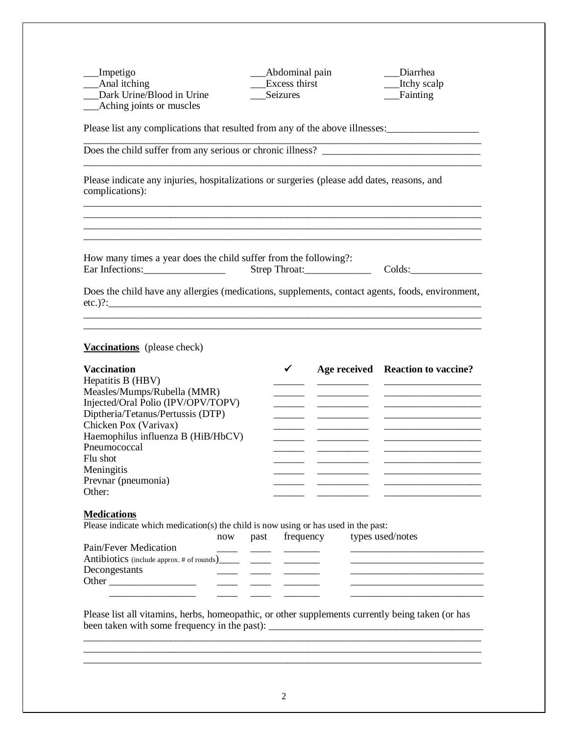\_\_\_Impetigo \_\_\_Abdominal pain \_\_\_Diarrhea \_\_\_Anal itching \_\_\_Excess thirst \_\_\_Itchy scalp \_\_\_Dark Urine/Blood in Urine \_\_\_Seizures \_\_\_Fainting \_\_\_Aching joints or muscles

Please list any complications that resulted from any of the above illnesses:

Does the child suffer from any serious or chronic illness? \_\_\_\_\_\_\_\_\_\_\_\_\_\_\_\_\_\_\_\_\_\_\_\_\_\_\_\_\_\_\_\_\_\_\_\_\_\_\_\_\_\_\_\_\_\_\_\_\_\_\_\_\_\_\_\_\_\_\_\_\_\_\_\_\_\_\_\_\_\_\_\_\_\_\_\_\_\_

Please indicate any injuries, hospitalizations or surgeries (please add dates, reasons, and complications):

How many times a year does the child suffer from the following?: Ear Infections: Strep Throat: Colds:

\_\_\_\_\_\_\_\_\_\_\_\_\_\_\_\_\_\_\_\_\_\_\_\_\_\_\_\_\_\_\_\_\_\_\_\_\_\_\_\_\_\_\_\_\_\_\_\_\_\_\_\_\_\_\_\_\_\_\_\_\_\_\_\_\_\_\_\_\_\_\_\_\_\_\_\_\_\_

\_\_\_\_\_\_\_\_\_\_\_\_\_\_\_\_\_\_\_\_\_\_\_\_\_\_\_\_\_\_\_\_\_\_\_\_\_\_\_\_\_\_\_\_\_\_\_\_\_\_\_\_\_\_\_\_\_\_\_\_\_\_\_\_\_\_\_\_\_\_\_\_\_\_\_\_\_\_

Does the child have any allergies (medications, supplements, contact agents, foods, environment, etc. $)$ ?: \_\_\_\_\_\_\_\_\_\_\_\_\_\_\_\_\_\_\_\_\_\_\_\_\_\_\_\_\_\_\_\_\_\_\_\_\_\_\_\_\_\_\_\_\_\_\_\_\_\_\_\_\_\_\_\_\_\_\_\_\_\_\_\_\_\_\_\_\_\_\_\_\_\_\_\_\_\_

\_\_\_\_\_\_\_\_\_\_\_\_\_\_\_\_\_\_\_\_\_\_\_\_\_\_\_\_\_\_\_\_\_\_\_\_\_\_\_\_\_\_\_\_\_\_\_\_\_\_\_\_\_\_\_\_\_\_\_\_\_\_\_\_\_\_\_\_\_\_\_\_\_\_\_\_\_\_

**Vaccinations** (please check)

| <b>Vaccination</b>                 | ✔ | Age received Reaction to vaccine? |
|------------------------------------|---|-----------------------------------|
| Hepatitis B (HBV)                  |   |                                   |
| Measles/Mumps/Rubella (MMR)        |   |                                   |
| Injected/Oral Polio (IPV/OPV/TOPV) |   |                                   |
| Diptheria/Tetanus/Pertussis (DTP)  |   |                                   |
| Chicken Pox (Varivax)              |   |                                   |
| Haemophilus influenza B (HiB/HbCV) |   |                                   |
| Pneumococcal                       |   |                                   |
| Flu shot                           |   |                                   |
| Meningitis                         |   |                                   |
| Prevnar (pneumonia)                |   |                                   |
| Other:                             |   |                                   |

#### **Medications**

Please indicate which medication(s) the child is now using or has used in the past:

|                       | now | past frequency | types used/notes |
|-----------------------|-----|----------------|------------------|
| Pain/Fever Medication |     |                |                  |
|                       |     |                |                  |
| Decongestants         |     |                |                  |
| Other                 |     |                |                  |
|                       |     |                |                  |

Please list all vitamins, herbs, homeopathic, or other supplements currently being taken (or has been taken with some frequency in the past): \_\_\_\_\_\_\_\_\_\_\_\_\_\_\_\_\_\_\_\_\_\_\_\_\_\_\_\_\_\_\_\_\_\_\_\_\_\_\_\_\_\_

\_\_\_\_\_\_\_\_\_\_\_\_\_\_\_\_\_\_\_\_\_\_\_\_\_\_\_\_\_\_\_\_\_\_\_\_\_\_\_\_\_\_\_\_\_\_\_\_\_\_\_\_\_\_\_\_\_\_\_\_\_\_\_\_\_\_\_\_\_\_\_\_\_\_\_\_\_\_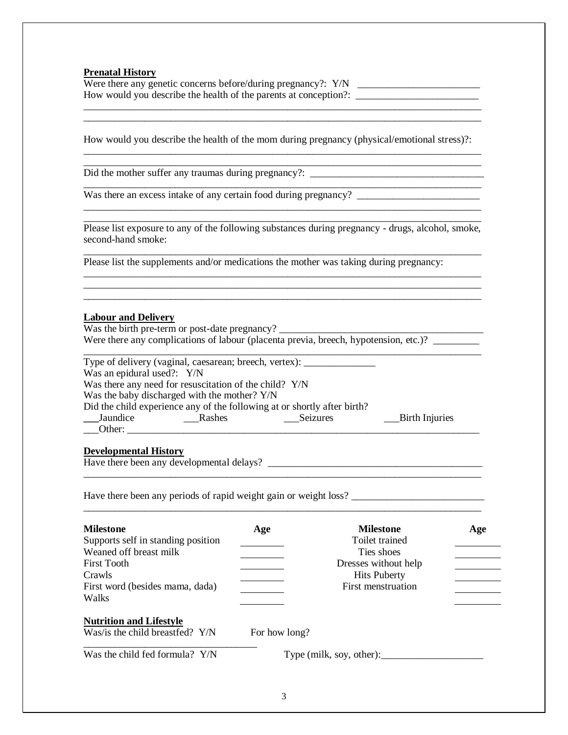**Prenatal History**

Were there any genetic concerns before/during pregnancy?: Y/N \_\_\_\_\_\_\_\_\_\_\_\_\_\_\_\_\_\_\_ How would you describe the health of the parents at conception?: \_\_\_\_\_\_\_\_\_\_\_\_\_\_\_\_\_\_\_\_\_\_\_\_\_\_\_\_\_\_\_\_\_\_\_\_\_\_\_\_\_\_\_\_\_\_\_\_\_\_\_\_\_\_\_\_\_\_\_\_\_\_\_\_\_\_\_\_\_\_\_\_\_\_\_\_\_\_

\_\_\_\_\_\_\_\_\_\_\_\_\_\_\_\_\_\_\_\_\_\_\_\_\_\_\_\_\_\_\_\_\_\_\_\_\_\_\_\_\_\_\_\_\_\_\_\_\_\_\_\_\_\_\_\_\_\_\_\_\_\_\_\_\_\_\_\_\_\_\_\_\_\_\_\_\_\_

How would you describe the health of the mom during pregnancy (physical/emotional stress)?: \_\_\_\_\_\_\_\_\_\_\_\_\_\_\_\_\_\_\_\_\_\_\_\_\_\_\_\_\_\_\_\_\_\_\_\_\_\_\_\_\_\_\_\_\_\_\_\_\_\_\_\_\_\_\_\_\_\_\_\_\_\_\_\_\_\_\_\_\_\_\_\_\_\_\_\_\_\_

Did the mother suffer any traumas during pregnancy?: \_\_\_\_\_\_\_\_\_\_\_\_\_\_\_\_\_\_\_\_\_\_\_\_\_\_\_\_\_\_\_\_\_\_

Was there an excess intake of any certain food during pregnancy? \_\_\_\_\_\_\_\_\_\_\_\_\_\_\_\_\_\_\_\_\_\_\_\_

\_\_\_\_\_\_\_\_\_\_\_\_\_\_\_\_\_\_\_\_\_\_\_\_\_\_\_\_\_\_\_\_\_\_\_\_\_\_\_\_\_\_\_\_\_\_\_\_\_\_\_\_\_\_\_\_\_\_\_\_\_\_\_\_\_\_\_\_\_\_\_\_\_\_\_\_\_\_ Please list exposure to any of the following substances during pregnancy - drugs, alcohol, smoke, second-hand smoke: \_\_\_\_\_\_\_\_\_\_\_\_\_\_\_\_\_\_\_\_\_\_\_\_\_\_\_\_\_\_\_\_\_\_\_\_\_\_\_\_\_\_\_\_\_\_\_\_\_\_\_\_\_\_\_\_\_\_\_\_\_\_\_\_\_\_\_\_\_\_\_\_\_\_\_\_\_\_

\_\_\_\_\_\_\_\_\_\_\_\_\_\_\_\_\_\_\_\_\_\_\_\_\_\_\_\_\_\_\_\_\_\_\_\_\_\_\_\_\_\_\_\_\_\_\_\_\_\_\_\_\_\_\_\_\_\_\_\_\_\_\_\_\_\_\_\_\_\_\_\_\_\_\_\_\_\_ \_\_\_\_\_\_\_\_\_\_\_\_\_\_\_\_\_\_\_\_\_\_\_\_\_\_\_\_\_\_\_\_\_\_\_\_\_\_\_\_\_\_\_\_\_\_\_\_\_\_\_\_\_\_\_\_\_\_\_\_\_\_\_\_\_\_\_\_\_\_\_\_\_\_\_\_\_\_ \_\_\_\_\_\_\_\_\_\_\_\_\_\_\_\_\_\_\_\_\_\_\_\_\_\_\_\_\_\_\_\_\_\_\_\_\_\_\_\_\_\_\_\_\_\_\_\_\_\_\_\_\_\_\_\_\_\_\_\_\_\_\_\_\_\_\_\_\_\_\_\_\_\_\_\_\_\_

\_\_\_\_\_\_\_\_\_\_\_\_\_\_\_\_\_\_\_\_\_\_\_\_\_\_\_\_\_\_\_\_\_\_\_\_\_\_\_\_\_\_\_\_\_\_\_\_\_\_\_\_\_\_\_\_\_\_\_\_\_\_\_\_\_\_\_\_\_\_\_\_\_\_\_\_\_\_

Please list the supplements and/or medications the mother was taking during pregnancy:

# **Labour and Delivery**

Was the birth pre-term or post-date pregnancy? Were there any complications of labour (placenta previa, breech, hypotension, etc.)?

|                                                                          | Type of delivery (vaginal, caesarean; breech, vertex): |          |                |  |  |
|--------------------------------------------------------------------------|--------------------------------------------------------|----------|----------------|--|--|
| Was an epidural used?: Y/N                                               |                                                        |          |                |  |  |
| Was there any need for resuscitation of the child? Y/N                   |                                                        |          |                |  |  |
|                                                                          | Was the baby discharged with the mother? Y/N           |          |                |  |  |
| Did the child experience any of the following at or shortly after birth? |                                                        |          |                |  |  |
| Jaundice                                                                 | Rashes                                                 | Seizures | Birth Injuries |  |  |
| Other:                                                                   |                                                        |          |                |  |  |

\_\_\_\_\_\_\_\_\_\_\_\_\_\_\_\_\_\_\_\_\_\_\_\_\_\_\_\_\_\_\_\_\_\_\_\_\_\_\_\_\_\_\_\_\_\_\_\_\_\_\_\_\_\_\_\_\_\_\_\_\_\_\_\_\_\_\_\_\_\_\_\_\_\_\_\_\_\_

\_\_\_\_\_\_\_\_\_\_\_\_\_\_\_\_\_\_\_\_\_\_\_\_\_\_\_\_\_\_\_\_\_\_\_\_\_\_\_\_\_\_\_\_\_\_\_\_\_\_\_\_\_\_\_\_\_\_\_\_\_\_\_\_\_\_\_\_\_\_\_\_\_\_\_\_\_\_

# **Developmental History**

Have there been any developmental delays? \_\_\_\_\_\_\_\_\_\_\_\_\_\_\_\_\_\_\_\_\_\_\_\_\_\_\_\_\_\_\_\_\_\_\_\_\_\_\_\_\_\_

Have there been any periods of rapid weight gain or weight loss? \_\_\_\_\_\_\_\_\_\_\_\_\_\_\_\_\_\_\_\_\_\_\_\_\_\_

| <b>Milestone</b><br>Supports self in standing position | Age           | <b>Milestone</b><br>Toilet trained | Age |
|--------------------------------------------------------|---------------|------------------------------------|-----|
| Weaned off breast milk                                 |               | Ties shoes                         |     |
| <b>First Tooth</b>                                     |               | Dresses without help               |     |
| Crawls                                                 |               | <b>Hits Puberty</b>                |     |
| First word (besides mama, dada)                        |               | First menstruation                 |     |
| Walks                                                  |               |                                    |     |
| <b>Nutrition and Lifestyle</b>                         |               |                                    |     |
| Was/is the child breastfed? Y/N                        | For how long? |                                    |     |
| Was the child fed formula? Y/N                         |               | Type (milk, soy, other):           |     |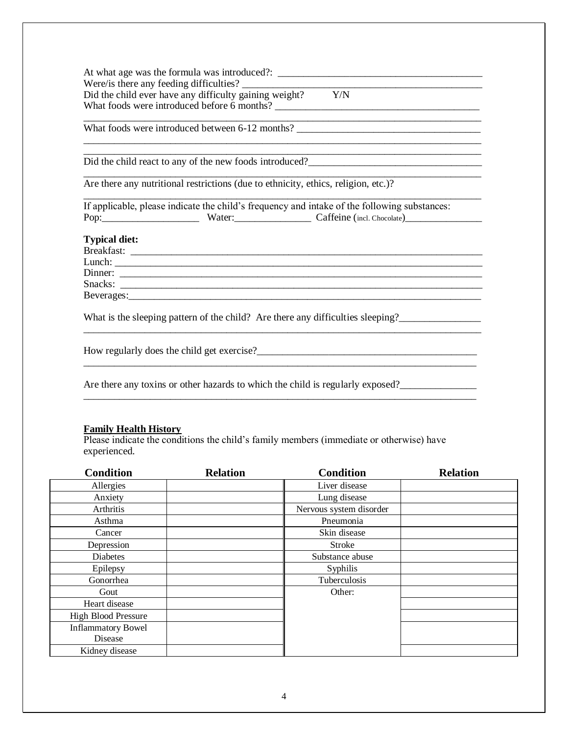At what age was the formula was introduced?: Were/is there any feeding difficulties?<br>Did the child ever have any difficulty gaining weight?  $Y/N$ Did the child ever have any difficulty gaining weight? What foods were introduced before 6 months? \_\_\_\_\_\_\_\_\_\_\_\_\_\_\_\_\_\_\_\_\_\_\_\_\_\_\_\_\_\_\_\_\_\_\_\_\_\_\_\_

What foods were introduced between 6-12 months? \_\_\_\_\_\_\_\_\_\_\_\_\_\_\_\_\_\_\_\_\_\_\_\_\_\_\_\_\_\_\_\_\_

Did the child react to any of the new foods introduced?\_\_\_\_\_\_\_\_\_\_\_\_\_\_\_\_\_\_\_\_\_\_\_\_\_\_\_\_\_\_\_\_\_\_

Are there any nutritional restrictions (due to ethnicity, ethics, religion, etc.)?

If applicable, please indicate the child's frequency and intake of the following substances: Pop:\_\_\_\_\_\_\_\_\_\_\_\_\_\_\_\_\_\_\_ Water:\_\_\_\_\_\_\_\_\_\_\_\_\_\_\_ Caffeine (incl. Chocolate)\_\_\_\_\_\_\_\_\_\_\_\_\_\_\_

\_\_\_\_\_\_\_\_\_\_\_\_\_\_\_\_\_\_\_\_\_\_\_\_\_\_\_\_\_\_\_\_\_\_\_\_\_\_\_\_\_\_\_\_\_\_\_\_\_\_\_\_\_\_\_\_\_\_\_\_\_\_\_\_\_\_\_\_\_\_\_\_\_\_\_\_\_\_

\_\_\_\_\_\_\_\_\_\_\_\_\_\_\_\_\_\_\_\_\_\_\_\_\_\_\_\_\_\_\_\_\_\_\_\_\_\_\_\_\_\_\_\_\_\_\_\_\_\_\_\_\_\_\_\_\_\_\_\_\_\_\_\_\_\_\_\_\_\_\_\_\_\_\_\_\_\_

\_\_\_\_\_\_\_\_\_\_\_\_\_\_\_\_\_\_\_\_\_\_\_\_\_\_\_\_\_\_\_\_\_\_\_\_\_\_\_\_\_\_\_\_\_\_\_\_\_\_\_\_\_\_\_\_\_\_\_\_\_\_\_\_\_\_\_\_\_\_\_\_\_\_\_\_\_\_

\_\_\_\_\_\_\_\_\_\_\_\_\_\_\_\_\_\_\_\_\_\_\_\_\_\_\_\_\_\_\_\_\_\_\_\_\_\_\_\_\_\_\_\_\_\_\_\_\_\_\_\_\_\_\_\_\_\_\_\_\_\_\_\_\_\_\_\_\_\_\_\_\_\_\_\_\_\_

\_\_\_\_\_\_\_\_\_\_\_\_\_\_\_\_\_\_\_\_\_\_\_\_\_\_\_\_\_\_\_\_\_\_\_\_\_\_\_\_\_\_\_\_\_\_\_\_\_\_\_\_\_\_\_\_\_\_\_\_\_\_\_\_\_\_\_\_\_\_\_\_\_\_\_\_\_\_

\_\_\_\_\_\_\_\_\_\_\_\_\_\_\_\_\_\_\_\_\_\_\_\_\_\_\_\_\_\_\_\_\_\_\_\_\_\_\_\_\_\_\_\_\_\_\_\_\_\_\_\_\_\_\_\_\_\_\_\_\_\_\_\_\_\_\_\_\_\_\_\_\_\_\_\_\_

\_\_\_\_\_\_\_\_\_\_\_\_\_\_\_\_\_\_\_\_\_\_\_\_\_\_\_\_\_\_\_\_\_\_\_\_\_\_\_\_\_\_\_\_\_\_\_\_\_\_\_\_\_\_\_\_\_\_\_\_\_\_\_\_\_\_\_\_\_\_\_\_\_\_\_\_\_

# **Typical diet:**

Breakfast: \_\_\_\_\_\_\_\_\_\_\_\_\_\_\_\_\_\_\_\_\_\_\_\_\_\_\_\_\_\_\_\_\_\_\_\_\_\_\_\_\_\_\_\_\_\_\_\_\_\_\_\_\_\_\_\_\_\_\_\_\_\_\_\_\_\_\_\_\_ Lunch: \_\_\_\_\_\_\_\_\_\_\_\_\_\_\_\_\_\_\_\_\_\_\_\_\_\_\_\_\_\_\_\_\_\_\_\_\_\_\_\_\_\_\_\_\_\_\_\_\_\_\_\_\_\_\_\_\_\_\_\_\_\_\_\_\_\_\_\_\_\_\_\_ Dinner: \_\_\_\_\_\_\_\_\_\_\_\_\_\_\_\_\_\_\_\_\_\_\_\_\_\_\_\_\_\_\_\_\_\_\_\_\_\_\_\_\_\_\_\_\_\_\_\_\_\_\_\_\_\_\_\_\_\_\_\_\_\_\_\_\_\_\_\_\_\_\_ Snacks: \_\_\_\_\_\_\_\_\_\_\_\_\_\_\_\_\_\_\_\_\_\_\_\_\_\_\_\_\_\_\_\_\_\_\_\_\_\_\_\_\_\_\_\_\_\_\_\_\_\_\_\_\_\_\_\_\_\_\_\_\_\_\_\_\_\_\_\_\_\_\_ Beverages:

What is the sleeping pattern of the child? Are there any difficulties sleeping?

How regularly does the child get exercise?<br> $\frac{1}{2}$ 

Are there any toxins or other hazards to which the child is regularly exposed?

# **Family Health History**

Please indicate the conditions the child's family members (immediate or otherwise) have experienced.

| <b>Condition</b>           | <b>Relation</b> | <b>Condition</b>        | <b>Relation</b> |
|----------------------------|-----------------|-------------------------|-----------------|
| Allergies                  |                 | Liver disease           |                 |
| Anxiety                    |                 | Lung disease            |                 |
| Arthritis                  |                 | Nervous system disorder |                 |
| Asthma                     |                 | Pneumonia               |                 |
| Cancer                     |                 | Skin disease            |                 |
| Depression                 |                 | <b>Stroke</b>           |                 |
| Diabetes                   |                 | Substance abuse         |                 |
| Epilepsy                   |                 | Syphilis                |                 |
| Gonorrhea                  |                 | Tuberculosis            |                 |
| Gout                       |                 | Other:                  |                 |
| Heart disease              |                 |                         |                 |
| <b>High Blood Pressure</b> |                 |                         |                 |
| <b>Inflammatory Bowel</b>  |                 |                         |                 |
| Disease                    |                 |                         |                 |
| Kidney disease             |                 |                         |                 |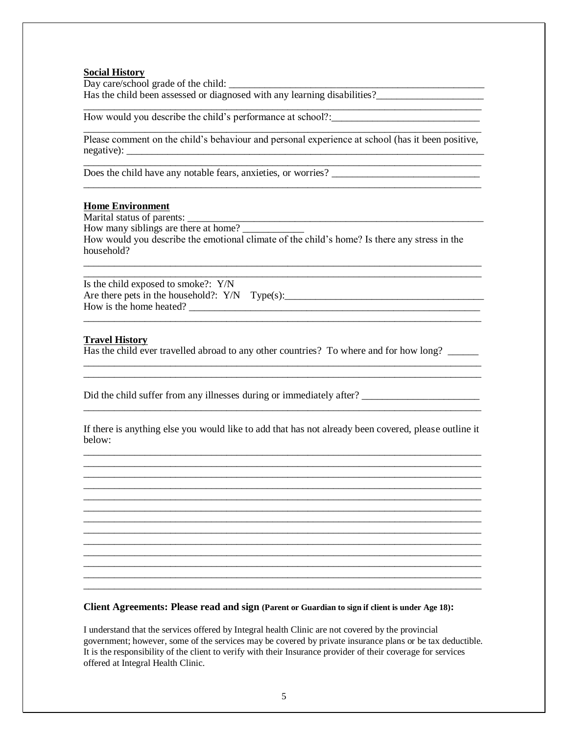# **Social History**

Day care/school grade of the child: \_\_\_\_\_\_\_\_\_\_\_\_\_\_\_\_\_\_\_\_\_\_\_\_\_\_\_\_\_\_\_\_\_\_\_\_\_\_\_\_\_\_\_\_\_\_\_\_\_\_ Has the child been assessed or diagnosed with any learning disabilities?\_\_\_\_\_\_\_\_\_\_\_\_\_\_\_\_\_\_\_\_\_

How would you describe the child's performance at school?:\_\_\_\_\_\_\_\_\_\_\_\_\_\_\_\_\_\_\_\_\_\_\_

\_\_\_\_\_\_\_\_\_\_\_\_\_\_\_\_\_\_\_\_\_\_\_\_\_\_\_\_\_\_\_\_\_\_\_\_\_\_\_\_\_\_\_\_\_\_\_\_\_\_\_\_\_\_\_\_\_\_\_\_\_\_\_\_\_\_\_\_\_\_\_\_\_\_\_\_\_\_ Please comment on the child's behaviour and personal experience at school (has it been positive, negative):

\_\_\_\_\_\_\_\_\_\_\_\_\_\_\_\_\_\_\_\_\_\_\_\_\_\_\_\_\_\_\_\_\_\_\_\_\_\_\_\_\_\_\_\_\_\_\_\_\_\_\_\_\_\_\_\_\_\_\_\_\_\_\_\_\_\_\_\_\_\_\_\_\_\_\_\_\_\_

\_\_\_\_\_\_\_\_\_\_\_\_\_\_\_\_\_\_\_\_\_\_\_\_\_\_\_\_\_\_\_\_\_\_\_\_\_\_\_\_\_\_\_\_\_\_\_\_\_\_\_\_\_\_\_\_\_\_\_\_\_\_\_\_\_\_\_\_\_\_\_\_\_\_\_\_\_\_

\_\_\_\_\_\_\_\_\_\_\_\_\_\_\_\_\_\_\_\_\_\_\_\_\_\_\_\_\_\_\_\_\_\_\_\_\_\_\_\_\_\_\_\_\_\_\_\_\_\_\_\_\_\_\_\_\_\_\_\_\_\_\_\_\_\_\_\_\_\_\_\_\_\_\_\_\_\_

Does the child have any notable fears, anxieties, or worries? \_\_\_\_\_\_\_\_\_\_\_\_\_\_\_\_\_\_\_\_\_\_\_\_\_\_\_\_\_

### **Home Environment**

Marital status of parents:

How many siblings are there at home? How would you describe the emotional climate of the child's home? Is there any stress in the household?

\_\_\_\_\_\_\_\_\_\_\_\_\_\_\_\_\_\_\_\_\_\_\_\_\_\_\_\_\_\_\_\_\_\_\_\_\_\_\_\_\_\_\_\_\_\_\_\_\_\_\_\_\_\_\_\_\_\_\_\_\_\_\_\_\_\_\_\_\_\_\_\_\_\_\_\_\_\_ \_\_\_\_\_\_\_\_\_\_\_\_\_\_\_\_\_\_\_\_\_\_\_\_\_\_\_\_\_\_\_\_\_\_\_\_\_\_\_\_\_\_\_\_\_\_\_\_\_\_\_\_\_\_\_\_\_\_\_\_\_\_\_\_\_\_\_\_\_\_\_\_\_\_\_\_\_\_

\_\_\_\_\_\_\_\_\_\_\_\_\_\_\_\_\_\_\_\_\_\_\_\_\_\_\_\_\_\_\_\_\_\_\_\_\_\_\_\_\_\_\_\_\_\_\_\_\_\_\_\_\_\_\_\_\_\_\_\_\_\_\_\_\_\_\_\_\_\_\_\_\_\_\_\_\_\_

\_\_\_\_\_\_\_\_\_\_\_\_\_\_\_\_\_\_\_\_\_\_\_\_\_\_\_\_\_\_\_\_\_\_\_\_\_\_\_\_\_\_\_\_\_\_\_\_\_\_\_\_\_\_\_\_\_\_\_\_\_\_\_\_\_\_\_\_\_\_\_\_\_\_\_\_\_\_ \_\_\_\_\_\_\_\_\_\_\_\_\_\_\_\_\_\_\_\_\_\_\_\_\_\_\_\_\_\_\_\_\_\_\_\_\_\_\_\_\_\_\_\_\_\_\_\_\_\_\_\_\_\_\_\_\_\_\_\_\_\_\_\_\_\_\_\_\_\_\_\_\_\_\_\_\_\_

Is the child exposed to smoke?: Y/N Are there pets in the household?: Y/N Type(s):\_\_\_\_\_\_\_\_\_\_\_\_\_\_\_\_\_\_\_\_\_\_\_\_\_\_\_\_\_\_\_\_\_\_\_\_\_\_\_ How is the home heated? \_\_\_\_\_\_\_\_\_\_\_\_\_\_\_\_\_\_\_\_\_\_\_\_\_\_\_\_\_\_\_\_\_\_\_\_\_\_\_\_\_\_\_\_\_\_\_\_\_\_\_\_\_\_\_\_\_

#### **Travel History**

Has the child ever travelled abroad to any other countries? To where and for how long?

Did the child suffer from any illnesses during or immediately after? \_\_\_\_\_\_\_\_\_\_\_\_\_\_\_\_\_\_\_\_\_\_\_

If there is anything else you would like to add that has not already been covered, please outline it below: \_\_\_\_\_\_\_\_\_\_\_\_\_\_\_\_\_\_\_\_\_\_\_\_\_\_\_\_\_\_\_\_\_\_\_\_\_\_\_\_\_\_\_\_\_\_\_\_\_\_\_\_\_\_\_\_\_\_\_\_\_\_\_\_\_\_\_\_\_\_\_\_\_\_\_\_\_\_

\_\_\_\_\_\_\_\_\_\_\_\_\_\_\_\_\_\_\_\_\_\_\_\_\_\_\_\_\_\_\_\_\_\_\_\_\_\_\_\_\_\_\_\_\_\_\_\_\_\_\_\_\_\_\_\_\_\_\_\_\_\_\_\_\_\_\_\_\_\_\_\_\_\_\_\_\_\_ \_\_\_\_\_\_\_\_\_\_\_\_\_\_\_\_\_\_\_\_\_\_\_\_\_\_\_\_\_\_\_\_\_\_\_\_\_\_\_\_\_\_\_\_\_\_\_\_\_\_\_\_\_\_\_\_\_\_\_\_\_\_\_\_\_\_\_\_\_\_\_\_\_\_\_\_\_\_ \_\_\_\_\_\_\_\_\_\_\_\_\_\_\_\_\_\_\_\_\_\_\_\_\_\_\_\_\_\_\_\_\_\_\_\_\_\_\_\_\_\_\_\_\_\_\_\_\_\_\_\_\_\_\_\_\_\_\_\_\_\_\_\_\_\_\_\_\_\_\_\_\_\_\_\_\_\_ \_\_\_\_\_\_\_\_\_\_\_\_\_\_\_\_\_\_\_\_\_\_\_\_\_\_\_\_\_\_\_\_\_\_\_\_\_\_\_\_\_\_\_\_\_\_\_\_\_\_\_\_\_\_\_\_\_\_\_\_\_\_\_\_\_\_\_\_\_\_\_\_\_\_\_\_\_\_ \_\_\_\_\_\_\_\_\_\_\_\_\_\_\_\_\_\_\_\_\_\_\_\_\_\_\_\_\_\_\_\_\_\_\_\_\_\_\_\_\_\_\_\_\_\_\_\_\_\_\_\_\_\_\_\_\_\_\_\_\_\_\_\_\_\_\_\_\_\_\_\_\_\_\_\_\_\_ \_\_\_\_\_\_\_\_\_\_\_\_\_\_\_\_\_\_\_\_\_\_\_\_\_\_\_\_\_\_\_\_\_\_\_\_\_\_\_\_\_\_\_\_\_\_\_\_\_\_\_\_\_\_\_\_\_\_\_\_\_\_\_\_\_\_\_\_\_\_\_\_\_\_\_\_\_\_ \_\_\_\_\_\_\_\_\_\_\_\_\_\_\_\_\_\_\_\_\_\_\_\_\_\_\_\_\_\_\_\_\_\_\_\_\_\_\_\_\_\_\_\_\_\_\_\_\_\_\_\_\_\_\_\_\_\_\_\_\_\_\_\_\_\_\_\_\_\_\_\_\_\_\_\_\_\_ \_\_\_\_\_\_\_\_\_\_\_\_\_\_\_\_\_\_\_\_\_\_\_\_\_\_\_\_\_\_\_\_\_\_\_\_\_\_\_\_\_\_\_\_\_\_\_\_\_\_\_\_\_\_\_\_\_\_\_\_\_\_\_\_\_\_\_\_\_\_\_\_\_\_\_\_\_\_ \_\_\_\_\_\_\_\_\_\_\_\_\_\_\_\_\_\_\_\_\_\_\_\_\_\_\_\_\_\_\_\_\_\_\_\_\_\_\_\_\_\_\_\_\_\_\_\_\_\_\_\_\_\_\_\_\_\_\_\_\_\_\_\_\_\_\_\_\_\_\_\_\_\_\_\_\_\_ \_\_\_\_\_\_\_\_\_\_\_\_\_\_\_\_\_\_\_\_\_\_\_\_\_\_\_\_\_\_\_\_\_\_\_\_\_\_\_\_\_\_\_\_\_\_\_\_\_\_\_\_\_\_\_\_\_\_\_\_\_\_\_\_\_\_\_\_\_\_\_\_\_\_\_\_\_\_ \_\_\_\_\_\_\_\_\_\_\_\_\_\_\_\_\_\_\_\_\_\_\_\_\_\_\_\_\_\_\_\_\_\_\_\_\_\_\_\_\_\_\_\_\_\_\_\_\_\_\_\_\_\_\_\_\_\_\_\_\_\_\_\_\_\_\_\_\_\_\_\_\_\_\_\_\_\_ \_\_\_\_\_\_\_\_\_\_\_\_\_\_\_\_\_\_\_\_\_\_\_\_\_\_\_\_\_\_\_\_\_\_\_\_\_\_\_\_\_\_\_\_\_\_\_\_\_\_\_\_\_\_\_\_\_\_\_\_\_\_\_\_\_\_\_\_\_\_\_\_\_\_\_\_\_\_

\_\_\_\_\_\_\_\_\_\_\_\_\_\_\_\_\_\_\_\_\_\_\_\_\_\_\_\_\_\_\_\_\_\_\_\_\_\_\_\_\_\_\_\_\_\_\_\_\_\_\_\_\_\_\_\_\_\_\_\_\_\_\_\_\_\_\_\_\_\_\_\_\_\_\_\_\_\_

**Client Agreements: Please read and sign (Parent or Guardian to sign if client is under Age 18):**

I understand that the services offered by Integral health Clinic are not covered by the provincial government; however, some of the services may be covered by private insurance plans or be tax deductible. It is the responsibility of the client to verify with their Insurance provider of their coverage for services offered at Integral Health Clinic.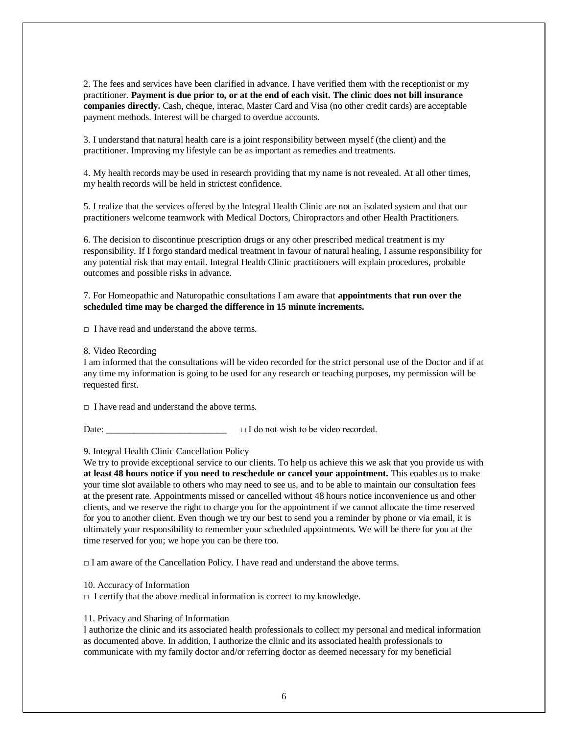2. The fees and services have been clarified in advance. I have verified them with the receptionist or my practitioner. **Payment is due prior to, or at the end of each visit. The clinic does not bill insurance companies directly.** Cash, cheque, interac, Master Card and Visa (no other credit cards) are acceptable payment methods. Interest will be charged to overdue accounts.

3. I understand that natural health care is a joint responsibility between myself (the client) and the practitioner. Improving my lifestyle can be as important as remedies and treatments.

4. My health records may be used in research providing that my name is not revealed. At all other times, my health records will be held in strictest confidence.

5. I realize that the services offered by the Integral Health Clinic are not an isolated system and that our practitioners welcome teamwork with Medical Doctors, Chiropractors and other Health Practitioners.

6. The decision to discontinue prescription drugs or any other prescribed medical treatment is my responsibility. If I forgo standard medical treatment in favour of natural healing, I assume responsibility for any potential risk that may entail. Integral Health Clinic practitioners will explain procedures, probable outcomes and possible risks in advance.

7. For Homeopathic and Naturopathic consultations I am aware that **appointments that run over the scheduled time may be charged the difference in 15 minute increments.** 

 $\Box$  I have read and understand the above terms.

8. Video Recording

I am informed that the consultations will be video recorded for the strict personal use of the Doctor and if at any time my information is going to be used for any research or teaching purposes, my permission will be requested first.

 $\Box$  I have read and understand the above terms.

Date: □ I do not wish to be video recorded.

9. Integral Health Clinic Cancellation Policy

We try to provide exceptional service to our clients. To help us achieve this we ask that you provide us with **at least 48 hours notice if you need to reschedule or cancel your appointment.** This enables us to make your time slot available to others who may need to see us, and to be able to maintain our consultation fees at the present rate. Appointments missed or cancelled without 48 hours notice inconvenience us and other clients, and we reserve the right to charge you for the appointment if we cannot allocate the time reserved for you to another client. Even though we try our best to send you a reminder by phone or via email, it is ultimately your responsibility to remember your scheduled appointments. We will be there for you at the time reserved for you; we hope you can be there too.

 $\Box$  I am aware of the Cancellation Policy. I have read and understand the above terms.

10. Accuracy of Information

 $\Box$  I certify that the above medical information is correct to my knowledge.

11. Privacy and Sharing of Information

I authorize the clinic and its associated health professionals to collect my personal and medical information as documented above. In addition, I authorize the clinic and its associated health professionals to communicate with my family doctor and/or referring doctor as deemed necessary for my beneficial